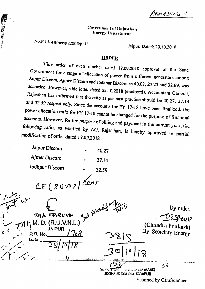Annexure-L

# **Government of Rujastlinn** Energy Department

No.F.15(4)Energy/2003/pt.11

**TANGARIAN** 

Jaipur, Dated: 29.10.2018

# **ORDER**

Vide order of even number dated 17.09.2018 approval of the State Government for change of allocation of power from different generators among Jaipur Discom, Ajmer Discom and Jodhpur Discom as 40.08, 27.23 and 32.69, was accorded. However, vide letter dated 22.10.2018 (enclosed), Accountant General, Rajasthan has informed that the ratio as per past practice should be 40.27, 27.14 and 32.59 respectively. Since the accounts for FY 17-18 have been finalized, the power allocation ratio for FY 17-18 cannot be changed for the purpose of financial accounts. However, for the purpose of billing and payment in the current year, the following ratio, as verified by AG, Rajasthan, is hereby approved in partial modification of order dated 17.09.2018 -

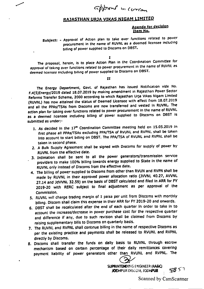approved in corran

# RAJASTHAN URJA VIKAS NIGAM LIMITED

### Agenda for decision Item No,

Subject: - Approval of Action plan to take over functions related to power procurement in the name of RUVNL as a deemed licensee including billing of power supplied to Discoms on DBST.

I

The proposal, herein, is to place Action Pian in the Coordination Committee for approvalof taking *over* functions related to power procurement In the name of RUVNLas deemed licensee including billing of power supplied to Discoms on DBST.

#### II

The Energy Department, Govt. *of* Rajasthan has Issued Notification vide No. F.4(5)Energy/2019 dated 18.07.2019 by making amendment in Rajasthan Power Sector ReformsTransfer Scheme, 2000 according to which Rajasthan Urja Vlkas Nigam Limited (RUVNL) has now attained the status of Deemed Licensee with effect from 18.07.2019 and all the PPAs/TSAs from Discoms are now transferred and vested in RUVNL. The action *plan* (or taking over (unctions related to power procurement In the name of RUVNL as a deemed licensee including billing of power supplied to Discoms on DBST is submitted as under:-

- 1. As decided in the 17<sup>th</sup> Coordination Committee meeting held on 15.05.2019 in first phase all PPAs/TSAs excluding PPA/TSA of RVUNL and RVPNL shall be taken Into account to start billing on DBST. The PPA/TSA of RVUNL and RVPNL shall be taken In second phase.
- 2. A Bulk Supply Agreement shall be signed with Discoms for supply of power by RUVNl from the effective date.
- 3. Intimation shall be sent to all the power generators/transmission service providers to make 100% billing towards energy supplied to State in the name of RUVNLonly Instead <sup>0</sup>' Dlscoms from the effective date.
- 4. The billing of power supplied to Discoms from other than RVUN and RVPN shall be made by RUVNl In their approved power allocation ratio (JWNl 40.27, AWNL 27.14 and JdVVNL 32.59) on the basis of DBST calculated and filed in ARR for FY 2019-20 with RERC subject to final adjustment as per approval of the Commission.
- 5. RUVNL will charge trading margin of 1 paisa per unit from Discoms with monthly billing. Discom shall claim this expense in their ARR for FY 2019-20 and onwards.
- 6. DBST shall be recalculated after the end of each Quarter In order to take In to account the increase/decrease in power purchase cost for the respective quarter and difference if any, due to such revision shall be claimed from Discoms by raising supplementary bills to Discoms on quarterly basis.
- 7. The RUVNL and RVPNL shall continue billing in the name of respective Discoms as per the existing practice and payments shall be released to RVUNL and RVPNL directly by Discoms.
- 8. Discoms shall transfer the funds on deity basis to RUVNL through escrow mechanism based on certain percentage of their daily remittances covering payment liability of power generators other than RVUNL and RVPNL. The payment liability of power generators other

SUPRINTENDING ENGINEER (RA&C) JODHPUR DISCOM, JODHPUR  $\frac{1}{2}$  51

Scanned by CamScanner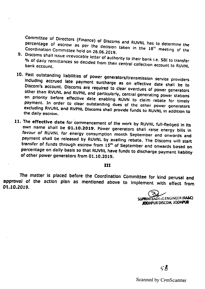Committee of Directors (Finance) of Dlscoms and RUVNl has to determine the percentage of escrow as per the decision taken in the 18<sup>th</sup> meeting of the Coordination Committee held on 28.06.2019.

- 9. Discoms shall issue irrevocable letter of authority to their bank i.e. SBI to transfer of daily remittances so decided from their central collection account to Ruynu bank account.
- 10. Past outstanding liabilities of power generators/transmission service providers Indudlng accrued late payment surcharge as on effective date shall be to Discom's account. Discoms are required to clear overdues of power generators other than RVUNL and RVPNL and particularly, central generating power stations on priority before effective date enabling RUVN to claim rebate for timely payment. In order to clear outstanding dues of the other power generators excluding RVUNL and RVPNL Discoms shall provide funds to RUVNL in addition to the *dally* escrow.
- 11. The effective date for commencement of the work by RUVNL full-fledged in its own name shall be 01.10.2019. Power generators shall raise energy bills in favour of RUVNL for energy consumption month September and onwards and payment shall be released by RUVNL by availing rebate. The Discoms will start transfer of funds through escrow from 15<sup>th</sup> of September and onwards based on percentage on dally basis so that RUVNL have funds to discharge payment liability of other power generators from 01.10.2019.

## III

The matter is placed before the Coordination Committee for kind perusal and *approval* of the action plan as mentioned above to Implement wlth effect from Ot.10.2019.

> SUPRINTENDING ENGINEER (RA&C) JODHPUR OtSCOM. JODHPUR

Scanned by CamScanner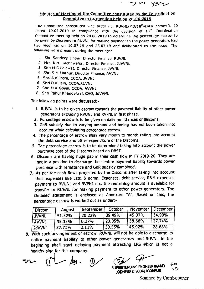$\mathit{\textit{var}}$ 

## Minutes of Meeting of the Committee constituted by the Co-ordination Committee in its meeting held on 28-06-2019

The Committee constituted vide order no. RUVNL/MD/18th-CoD/Escrow/D. 50 dated 10,07.2019 in compliance with the decision of 18<sup>th</sup> Coordination Committee meeting held on 28.06.2019 to determine the percentage escrow to tie given by Discoms to RUVNL for making payment to the power generators had two meetings on 16.07.19 and 25.07.19 and deliberated an the issue. The following were present during the meetings :-

- 1 Shri Sandeep Dheer, Director Finance, RUVNL
- 2 Mrs. Kirti Kachhwaha, Director Finance, JdVVNL
- 3. Shri M S Palawat, Director Finance, JVVNL
- 4 Shri S.M Mathur, Director Finance, AVVNL
- 5. Shri A.K Joshi, CCOA, JVVNL
- 6. Shri D.K Jain, CCOA, RUVNL
- 7. Shri M.K Goyal, CCOA, AVVNL
- 8. Shri Rahul Khandelwal, CAO, JdVVNL

The following points were discussed:-

- 1. RUVNL is to be given escrow towards the payment liabilly of other power generators excluding RVUNL and RVPNL in first phase.
- 2. Percentage escrow is to be given on daily remittances of Discoms.
- 3. GoR subsidy due to varying amount and timing has not been taken into account while calculating percentage escrow.
- 4. The percentage of escrow shall vary month to month taking into account the debt service and other expenditure of the Discoms.
- 5. The percentage escrow is to be determined taking into account the power purchase cost of the Discoms based on DBST.
- 6. Discoms are having huge gap in their cash flow in FY 2019-20. They are not in a position to discharge their entire payment liability towards power purchase with remittance and GoR subsidy combined.
- 7. As per the cash flows projected by the Discoms after taking into account their expenses like Estt. & admn. Expenses, debt service, R&M expenses payment to RVUNL and RVPNL etc. the remaining amount is available for transfer to RUVNL for making payment to other power generators. The Detailed statement is enclosed as Annexure "A". Based on this, the percentage escrow is worked out as under:-

| Discom        | August | September | October | November | December |
|---------------|--------|-----------|---------|----------|----------|
| l jvvnl       | 51.52% | 20.22%    | 39.49%  | 45.37%   | 34.90%   |
| <b>AVVNL</b>  | 35.35% | 6.27%     | 23.05%  | 38.66%   | 27.74%   |
| <b>JdVVNL</b> | 37.71% | 2.11%     | 30.55%  | 45.92%   | 28.68%   |

8. With such arrangement of escrow, RUVNL will not be able to discharge its entire payment liability to other power generators and RUVNL in the beginning shall start delaying payment attracting LPS which is not a healthy sign for this company.

 $\mu$ y.

ЕO SUPRINTENDING ENGINEER (RABC) JOOHPUR DISCOM JODHPUR